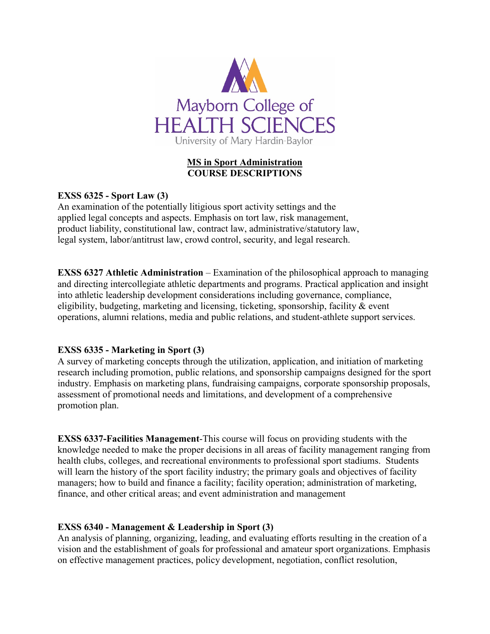

# **MS in Sport Administration COURSE DESCRIPTIONS**

# **EXSS 6325 - Sport Law (3)**

An examination of the potentially litigious sport activity settings and the applied legal concepts and aspects. Emphasis on tort law, risk management, product liability, constitutional law, contract law, administrative/statutory law, legal system, labor/antitrust law, crowd control, security, and legal research.

**EXSS 6327 Athletic Administration** – Examination of the philosophical approach to managing and directing intercollegiate athletic departments and programs. Practical application and insight into athletic leadership development considerations including governance, compliance, eligibility, budgeting, marketing and licensing, ticketing, sponsorship, facility & event operations, alumni relations, media and public relations, and student-athlete support services.

# **EXSS 6335 - Marketing in Sport (3)**

A survey of marketing concepts through the utilization, application, and initiation of marketing research including promotion, public relations, and sponsorship campaigns designed for the sport industry. Emphasis on marketing plans, fundraising campaigns, corporate sponsorship proposals, assessment of promotional needs and limitations, and development of a comprehensive promotion plan.

**EXSS 6337-Facilities Management**-This course will focus on providing students with the knowledge needed to make the proper decisions in all areas of facility management ranging from health clubs, colleges, and recreational environments to professional sport stadiums. Students will learn the history of the sport facility industry; the primary goals and objectives of facility managers; how to build and finance a facility; facility operation; administration of marketing, finance, and other critical areas; and event administration and management

# **EXSS 6340 - Management & Leadership in Sport (3)**

An analysis of planning, organizing, leading, and evaluating efforts resulting in the creation of a vision and the establishment of goals for professional and amateur sport organizations. Emphasis on effective management practices, policy development, negotiation, conflict resolution,